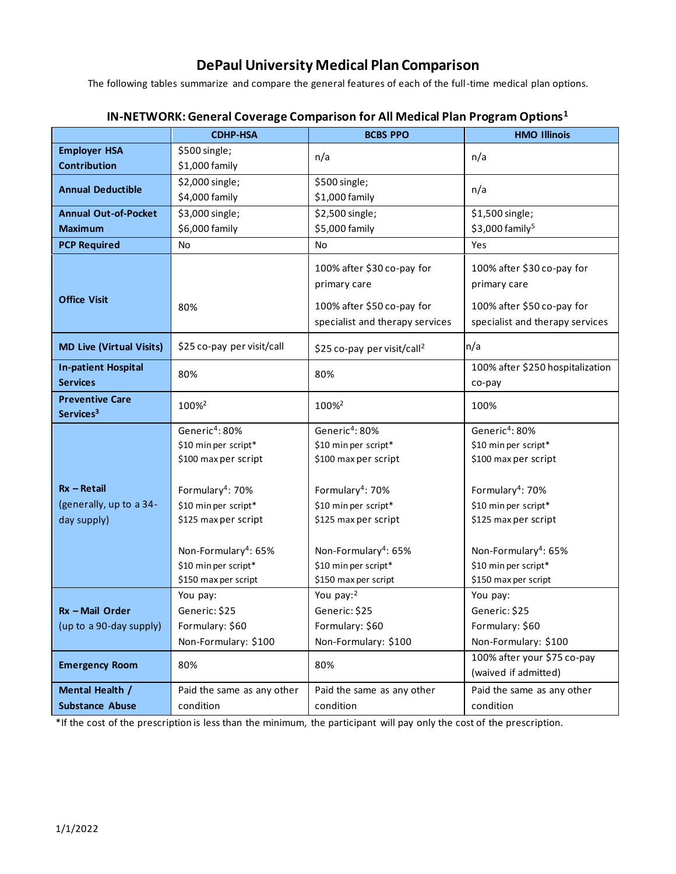## **DePaul University Medical Plan Comparison**

The following tables summarize and compare the general features of each of the full-time medical plan options.

|                                 | <b>CDHP-HSA</b>                  | <b>BCBS PPO</b>                         | <b>HMO Illinois</b>              |
|---------------------------------|----------------------------------|-----------------------------------------|----------------------------------|
| <b>Employer HSA</b>             | \$500 single;                    | n/a                                     | n/a                              |
| <b>Contribution</b>             | \$1,000 family                   |                                         |                                  |
| <b>Annual Deductible</b>        | \$2,000 single;                  | \$500 single;                           | n/a                              |
|                                 | \$4,000 family                   | \$1,000 family                          |                                  |
| <b>Annual Out-of-Pocket</b>     | \$3,000 single;                  | \$2,500 single;                         | \$1,500 single;                  |
| <b>Maximum</b>                  | \$6,000 family                   | \$5,000 family                          | \$3,000 family <sup>5</sup>      |
| <b>PCP Required</b>             | No                               | No                                      | Yes                              |
|                                 |                                  | 100% after \$30 co-pay for              | 100% after \$30 co-pay for       |
|                                 |                                  | primary care                            | primary care                     |
| <b>Office Visit</b>             |                                  |                                         |                                  |
|                                 | 80%                              | 100% after \$50 co-pay for              | 100% after \$50 co-pay for       |
|                                 |                                  | specialist and therapy services         | specialist and therapy services  |
| <b>MD Live (Virtual Visits)</b> | \$25 co-pay per visit/call       | \$25 co-pay per visit/call <sup>2</sup> | n/a                              |
| <b>In-patient Hospital</b>      | 80%                              | 80%                                     | 100% after \$250 hospitalization |
| <b>Services</b>                 |                                  |                                         | co-pay                           |
| <b>Preventive Care</b>          | 100% <sup>2</sup>                | 100% <sup>2</sup>                       | 100%                             |
| Services <sup>3</sup>           |                                  |                                         |                                  |
|                                 | Generic <sup>4</sup> : 80%       | Generic <sup>4</sup> : 80%              | Generic <sup>4</sup> : 80%       |
|                                 | \$10 min per script*             | \$10 min per script*                    | \$10 min per script*             |
|                                 | \$100 max per script             | \$100 max per script                    | \$100 max per script             |
| $Rx - Retail$                   | Formulary <sup>4</sup> : 70%     | Formulary <sup>4</sup> : 70%            | Formulary <sup>4</sup> : 70%     |
| (generally, up to a 34-         | \$10 min per script*             | \$10 min per script*                    | \$10 min per script*             |
| day supply)                     | \$125 max per script             | \$125 max per script                    | \$125 max per script             |
|                                 |                                  |                                         |                                  |
|                                 | Non-Formulary <sup>4</sup> : 65% | Non-Formulary <sup>4</sup> : 65%        | Non-Formulary <sup>4</sup> : 65% |
|                                 | \$10 min per script*             | \$10 min per script*                    | \$10 min per script*             |
|                                 | \$150 max per script             | \$150 max per script                    | \$150 max per script             |
|                                 | You pay:                         | You pay: <sup>2</sup>                   | You pay:                         |
| Rx - Mail Order                 | Generic: \$25                    | Generic: \$25                           | Generic: \$25                    |
| (up to a 90-day supply)         | Formulary: \$60                  | Formulary: \$60                         | Formulary: \$60                  |
|                                 | Non-Formulary: \$100             | Non-Formulary: \$100                    | Non-Formulary: \$100             |
| <b>Emergency Room</b>           | 80%                              | 80%                                     | 100% after your \$75 co-pay      |
|                                 |                                  |                                         | (waived if admitted)             |
| Mental Health /                 | Paid the same as any other       | Paid the same as any other              | Paid the same as any other       |
| <b>Substance Abuse</b>          | condition                        | condition                               | condition                        |

## **IN-NETWORK: General Coverage Comparison for All Medical Plan Program Options<sup>1</sup>**

\*If the cost of the prescription is less than the minimum, the participant will pay only the cost of the prescription.